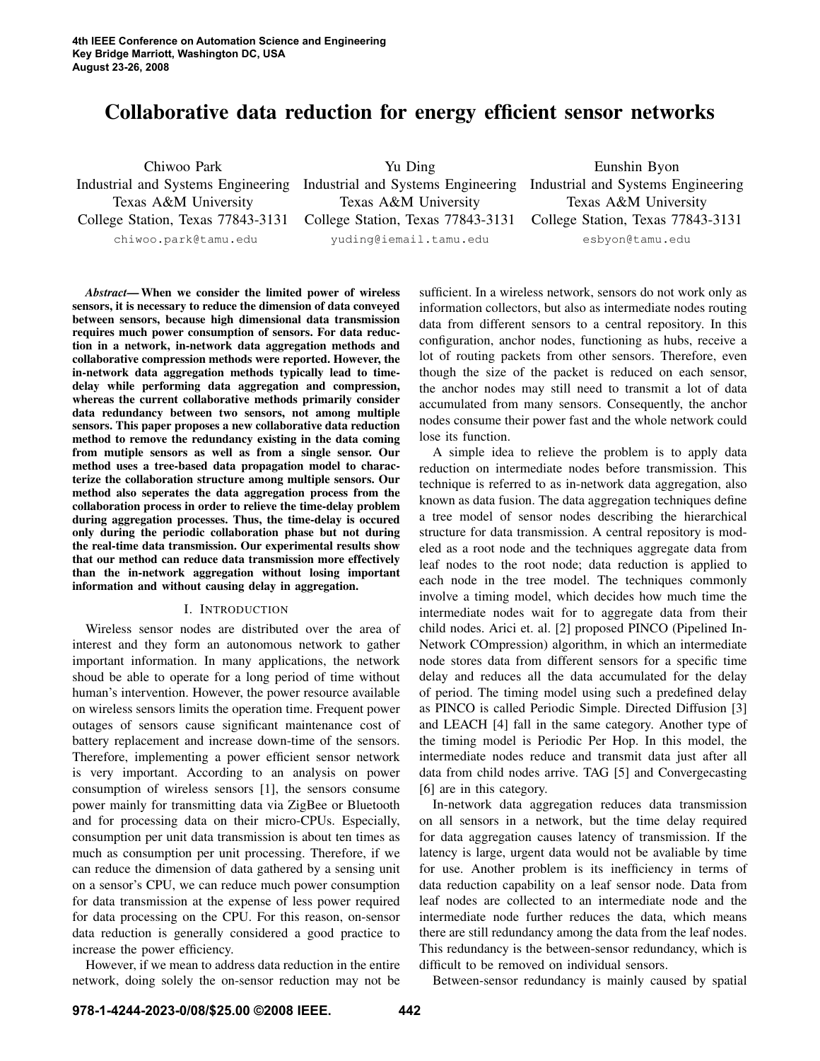# Collaborative data reduction for energy efficient sensor networks

Chiwoo Park Industrial and Systems Engineering Industrial and Systems Engineering Texas A&M University College Station, Texas 77843-3131 chiwoo.park@tamu.edu Yu Ding Texas A&M University College Station, Texas 77843-3131 yuding@iemail.tamu.edu Eunshin Byon Industrial and Systems Engineering Texas A&M University College Station, Texas 77843-3131 esbyon@tamu.edu

*Abstract*— When we consider the limited power of wireless sensors, it is necessary to reduce the dimension of data conveyed between sensors, because high dimensional data transmission requires much power consumption of sensors. For data reduction in a network, in-network data aggregation methods and collaborative compression methods were reported. However, the in-network data aggregation methods typically lead to timedelay while performing data aggregation and compression, whereas the current collaborative methods primarily consider data redundancy between two sensors, not among multiple sensors. This paper proposes a new collaborative data reduction method to remove the redundancy existing in the data coming from mutiple sensors as well as from a single sensor. Our method uses a tree-based data propagation model to characterize the collaboration structure among multiple sensors. Our method also seperates the data aggregation process from the collaboration process in order to relieve the time-delay problem during aggregation processes. Thus, the time-delay is occured only during the periodic collaboration phase but not during the real-time data transmission. Our experimental results show that our method can reduce data transmission more effectively than the in-network aggregation without losing important information and without causing delay in aggregation.

## I. INTRODUCTION

Wireless sensor nodes are distributed over the area of interest and they form an autonomous network to gather important information. In many applications, the network shoud be able to operate for a long period of time without human's intervention. However, the power resource available on wireless sensors limits the operation time. Frequent power outages of sensors cause significant maintenance cost of battery replacement and increase down-time of the sensors. Therefore, implementing a power efficient sensor network is very important. According to an analysis on power consumption of wireless sensors [1], the sensors consume power mainly for transmitting data via ZigBee or Bluetooth and for processing data on their micro-CPUs. Especially, consumption per unit data transmission is about ten times as much as consumption per unit processing. Therefore, if we can reduce the dimension of data gathered by a sensing unit on a sensor's CPU, we can reduce much power consumption for data transmission at the expense of less power required for data processing on the CPU. For this reason, on-sensor data reduction is generally considered a good practice to increase the power efficiency.

However, if we mean to address data reduction in the entire network, doing solely the on-sensor reduction may not be sufficient. In a wireless network, sensors do not work only as information collectors, but also as intermediate nodes routing data from different sensors to a central repository. In this configuration, anchor nodes, functioning as hubs, receive a lot of routing packets from other sensors. Therefore, even though the size of the packet is reduced on each sensor, the anchor nodes may still need to transmit a lot of data accumulated from many sensors. Consequently, the anchor nodes consume their power fast and the whole network could lose its function.

A simple idea to relieve the problem is to apply data reduction on intermediate nodes before transmission. This technique is referred to as in-network data aggregation, also known as data fusion. The data aggregation techniques define a tree model of sensor nodes describing the hierarchical structure for data transmission. A central repository is modeled as a root node and the techniques aggregate data from leaf nodes to the root node; data reduction is applied to each node in the tree model. The techniques commonly involve a timing model, which decides how much time the intermediate nodes wait for to aggregate data from their child nodes. Arici et. al. [2] proposed PINCO (Pipelined In-Network COmpression) algorithm, in which an intermediate node stores data from different sensors for a specific time delay and reduces all the data accumulated for the delay of period. The timing model using such a predefined delay as PINCO is called Periodic Simple. Directed Diffusion [3] and LEACH [4] fall in the same category. Another type of the timing model is Periodic Per Hop. In this model, the intermediate nodes reduce and transmit data just after all data from child nodes arrive. TAG [5] and Convergecasting [6] are in this category.

In-network data aggregation reduces data transmission on all sensors in a network, but the time delay required for data aggregation causes latency of transmission. If the latency is large, urgent data would not be avaliable by time for use. Another problem is its inefficiency in terms of data reduction capability on a leaf sensor node. Data from leaf nodes are collected to an intermediate node and the intermediate node further reduces the data, which means there are still redundancy among the data from the leaf nodes. This redundancy is the between-sensor redundancy, which is difficult to be removed on individual sensors.

Between-sensor redundancy is mainly caused by spatial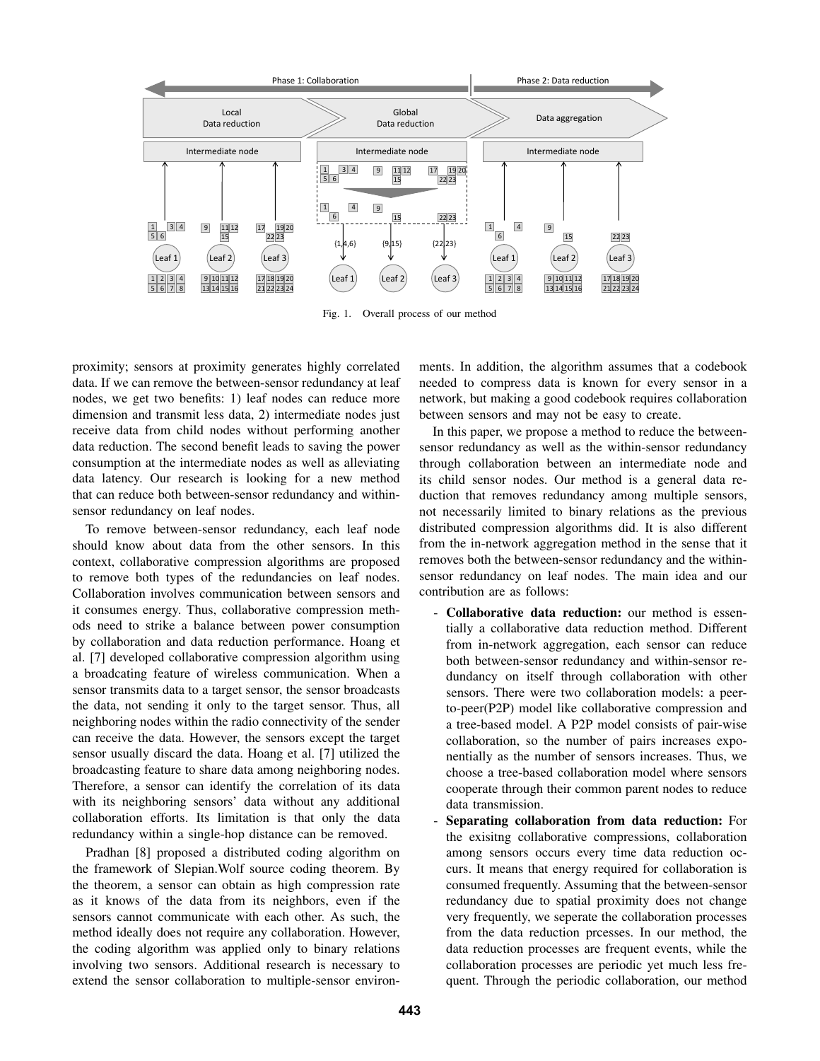

Fig. 1. Overall process of our method

proximity; sensors at proximity generates highly correlated data. If we can remove the between-sensor redundancy at leaf nodes, we get two benefits: 1) leaf nodes can reduce more dimension and transmit less data, 2) intermediate nodes just receive data from child nodes without performing another data reduction. The second benefit leads to saving the power consumption at the intermediate nodes as well as alleviating data latency. Our research is looking for a new method that can reduce both between-sensor redundancy and withinsensor redundancy on leaf nodes.

To remove between-sensor redundancy, each leaf node should know about data from the other sensors. In this context, collaborative compression algorithms are proposed to remove both types of the redundancies on leaf nodes. Collaboration involves communication between sensors and it consumes energy. Thus, collaborative compression methods need to strike a balance between power consumption by collaboration and data reduction performance. Hoang et al. [7] developed collaborative compression algorithm using a broadcating feature of wireless communication. When a sensor transmits data to a target sensor, the sensor broadcasts the data, not sending it only to the target sensor. Thus, all neighboring nodes within the radio connectivity of the sender can receive the data. However, the sensors except the target sensor usually discard the data. Hoang et al. [7] utilized the broadcasting feature to share data among neighboring nodes. Therefore, a sensor can identify the correlation of its data with its neighboring sensors' data without any additional collaboration efforts. Its limitation is that only the data redundancy within a single-hop distance can be removed.

Pradhan [8] proposed a distributed coding algorithm on the framework of Slepian.Wolf source coding theorem. By the theorem, a sensor can obtain as high compression rate as it knows of the data from its neighbors, even if the sensors cannot communicate with each other. As such, the method ideally does not require any collaboration. However, the coding algorithm was applied only to binary relations involving two sensors. Additional research is necessary to extend the sensor collaboration to multiple-sensor environments. In addition, the algorithm assumes that a codebook needed to compress data is known for every sensor in a network, but making a good codebook requires collaboration between sensors and may not be easy to create.

In this paper, we propose a method to reduce the betweensensor redundancy as well as the within-sensor redundancy through collaboration between an intermediate node and its child sensor nodes. Our method is a general data reduction that removes redundancy among multiple sensors, not necessarily limited to binary relations as the previous distributed compression algorithms did. It is also different from the in-network aggregation method in the sense that it removes both the between-sensor redundancy and the withinsensor redundancy on leaf nodes. The main idea and our contribution are as follows:

- Collaborative data reduction: our method is essentially a collaborative data reduction method. Different from in-network aggregation, each sensor can reduce both between-sensor redundancy and within-sensor redundancy on itself through collaboration with other sensors. There were two collaboration models: a peerto-peer(P2P) model like collaborative compression and a tree-based model. A P2P model consists of pair-wise collaboration, so the number of pairs increases exponentially as the number of sensors increases. Thus, we choose a tree-based collaboration model where sensors cooperate through their common parent nodes to reduce data transmission.
- Separating collaboration from data reduction: For the exisitng collaborative compressions, collaboration among sensors occurs every time data reduction occurs. It means that energy required for collaboration is consumed frequently. Assuming that the between-sensor redundancy due to spatial proximity does not change very frequently, we seperate the collaboration processes from the data reduction prcesses. In our method, the data reduction processes are frequent events, while the collaboration processes are periodic yet much less frequent. Through the periodic collaboration, our method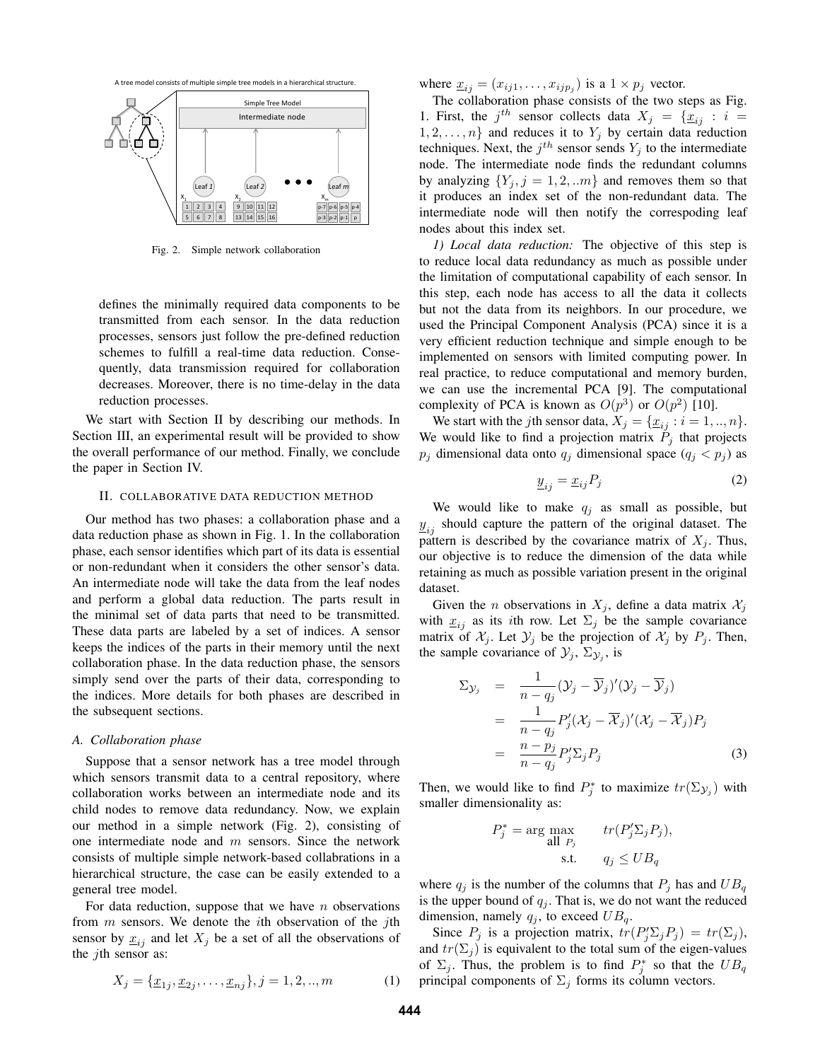

Fig. 2. Simple network collaboration

defines the minimally required data components to be transmitted from each sensor. In the data reduction processes, sensors just follow the pre-defined reduction schemes to fulfill a real-time data reduction. Consequently, data transmission required for collaboration decreases. Moreover, there is no time-delay in the data reduction processes.

We start with Section II by describing our methods. In Section III, an experimental result will be provided to show the overall performance of our method. Finally, we conclude the paper in Section IV.

# II. COLLABORATIVE DATA REDUCTION METHOD

Our method has two phases: a collaboration phase and a data reduction phase as shown in Fig. 1. In the collaboration phase, each sensor identifies which part of its data is essential or non-redundant when it considers the other sensor's data. An intermediate node will take the data from the leaf nodes and perform a global data reduction. The parts result in the minimal set of data parts that need to be transmitted. These data parts are labeled by a set of indices. A sensor keeps the indices of the parts in their memory until the next collaboration phase. In the data reduction phase, the sensors simply send over the parts of their data, corresponding to the indices. More details for both phases are described in the subsequent sections.

#### *A. Collaboration phase*

Suppose that a sensor network has a tree model through which sensors transmit data to a central repository, where collaboration works between an intermediate node and its child nodes to remove data redundancy. Now, we explain our method in a simple network (Fig. 2), consisting of one intermediate node and m sensors. Since the network consists of multiple simple network-based collabrations in a hierarchical structure, the case can be easily extended to a general tree model.

For data reduction, suppose that we have  $n$  observations from  $m$  sensors. We denote the *i*th observation of the *j*th sensor by  $\underline{x}_{ij}$  and let  $X_j$  be a set of all the observations of the  $j$ th sensor as:

$$
X_j = \{ \underline{x}_{1j}, \underline{x}_{2j}, \dots, \underline{x}_{nj} \}, j = 1, 2, \dots, m \tag{1}
$$

where  $\underline{x}_{ij} = (x_{ij1}, \dots, x_{ijp_j})$  is a  $1 \times p_j$  vector.

The collaboration phase consists of the two steps as Fig. 1. First, the  $j^{th}$  sensor collects data  $X_j = \{ \underline{x}_{ij} : i =$  $1, 2, \ldots, n$  and reduces it to  $Y_j$  by certain data reduction techniques. Next, the  $j<sup>th</sup>$  sensor sends  $Y_j$  to the intermediate node. The intermediate node finds the redundant columns by analyzing  $\{Y_j, j = 1, 2, \ldots m\}$  and removes them so that it produces an index set of the non-redundant data. The intermediate node will then notify the correspoding leaf nodes about this index set.

*1) Local data reduction:* The objective of this step is to reduce local data redundancy as much as possible under the limitation of computational capability of each sensor. In this step, each node has access to all the data it collects but not the data from its neighbors. In our procedure, we used the Principal Component Analysis (PCA) since it is a very efficient reduction technique and simple enough to be implemented on sensors with limited computing power. In real practice, to reduce computational and memory burden, we can use the incremental PCA [9]. The computational complexity of PCA is known as  $O(p^3)$  or  $O(p^2)$  [10].

We start with the *j*th sensor data,  $X_j = \{ \underline{x}_{ij} : i = 1, ..., n \}.$ We would like to find a projection matrix  $P_j$  that projects  $p_j$  dimensional data onto  $q_j$  dimensional space  $(q_j < p_j)$  as

$$
\underline{y}_{ij} = \underline{x}_{ij} P_j \tag{2}
$$

We would like to make  $q_i$  as small as possible, but  $\underline{y}_{ij}$  should capture the pattern of the original dataset. The pattern is described by the covariance matrix of  $X_i$ . Thus, our objective is to reduce the dimension of the data while retaining as much as possible variation present in the original dataset.

Given the *n* observations in  $X_j$ , define a data matrix  $X_j$ with  $x_{ij}$  as its *i*th row. Let  $\Sigma_j$  be the sample covariance matrix of  $\mathcal{X}_j$ . Let  $\mathcal{Y}_j$  be the projection of  $\mathcal{X}_j$  by  $P_j$ . Then, the sample covariance of  $\mathcal{Y}_j$ ,  $\Sigma_{\mathcal{Y}_j}$ , is

$$
\Sigma_{\mathcal{Y}_j} = \frac{1}{n - q_j} (\mathcal{Y}_j - \overline{\mathcal{Y}}_j)' (\mathcal{Y}_j - \overline{\mathcal{Y}}_j)
$$
  
\n
$$
= \frac{1}{n - q_j} P'_j (\mathcal{X}_j - \overline{\mathcal{X}}_j)' (\mathcal{X}_j - \overline{\mathcal{X}}_j) P_j
$$
  
\n
$$
= \frac{n - p_j}{n - q_j} P'_j \Sigma_j P_j
$$
 (3)

Then, we would like to find  $P_j^*$  to maximize  $tr(\Sigma_{\mathcal{Y}_j})$  with smaller dimensionality as:

$$
P_j^* = \arg\max_{\text{all } P_j} \qquad tr(P_j' \Sigma_j P_j),
$$
  
s.t. 
$$
q_j \leq UB_q
$$

where  $q_j$  is the number of the columns that  $P_j$  has and  $UB_q$ is the upper bound of  $q_j$ . That is, we do not want the reduced dimension, namely  $q_j$ , to exceed  $UB_q$ .

Since  $P_j$  is a projection matrix,  $tr(P'_j \Sigma_j P_j) = tr(\Sigma_j)$ , and  $tr(\Sigma_j)$  is equivalent to the total sum of the eigen-values of  $\Sigma_j$ . Thus, the problem is to find  $P_j^*$  so that the  $UB_q$ principal components of  $\Sigma_j$  forms its column vectors.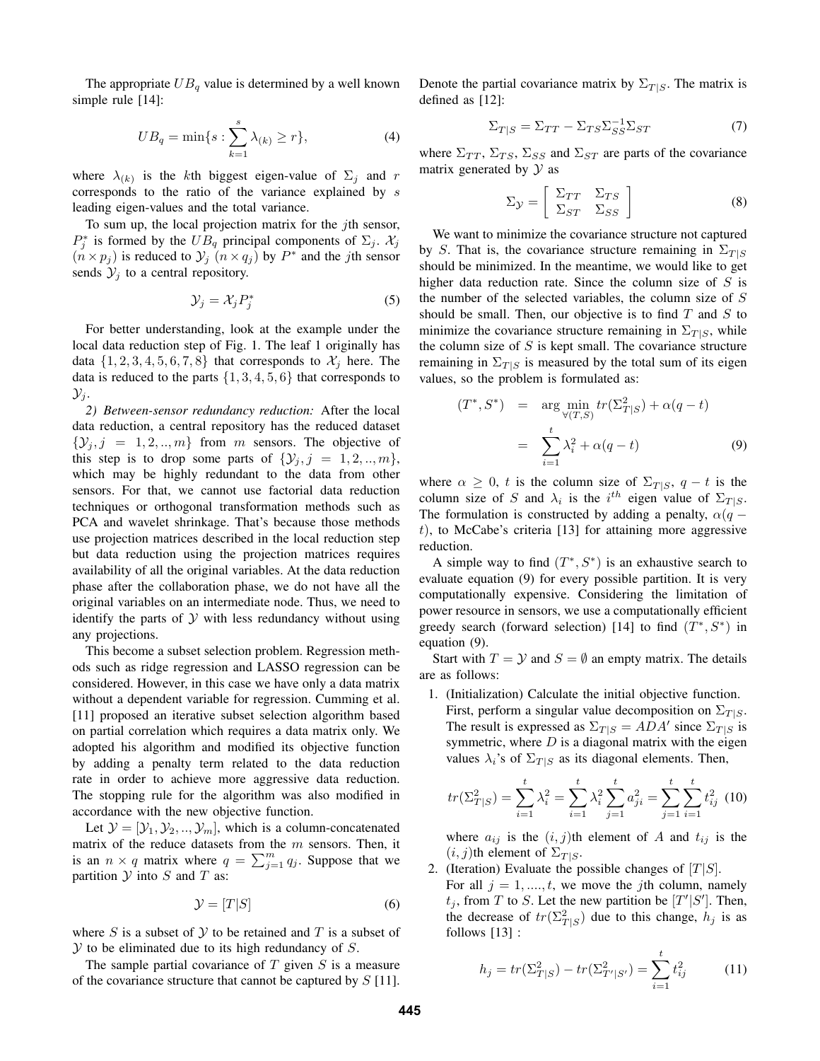The appropriate  $UB_q$  value is determined by a well known simple rule [14]:

$$
UB_q = \min\{s : \sum_{k=1}^{s} \lambda_{(k)} \ge r\},
$$
\n(4)

where  $\lambda_{(k)}$  is the kth biggest eigen-value of  $\Sigma_j$  and r corresponds to the ratio of the variance explained by s leading eigen-values and the total variance.

To sum up, the local projection matrix for the  $j$ th sensor,  $P_j^*$  is formed by the  $UB_q$  principal components of  $\Sigma_j$ .  $\mathcal{X}_j$  $(n \times p_j)$  is reduced to  $\mathcal{Y}_j$   $(n \times q_j)$  by  $P^*$  and the jth sensor sends  $\mathcal{Y}_i$  to a central repository.

$$
\mathcal{Y}_j = \mathcal{X}_j P_j^* \tag{5}
$$

For better understanding, look at the example under the local data reduction step of Fig. 1. The leaf 1 originally has data  $\{1, 2, 3, 4, 5, 6, 7, 8\}$  that corresponds to  $\mathcal{X}_i$  here. The data is reduced to the parts  $\{1, 3, 4, 5, 6\}$  that corresponds to  $\mathcal{Y}_j$ .

*2) Between-sensor redundancy reduction:* After the local data reduction, a central repository has the reduced dataset  $\{\mathcal{Y}_i, j = 1, 2, \ldots, m\}$  from m sensors. The objective of this step is to drop some parts of  $\{y_i, j = 1, 2, ..., m\}$ , which may be highly redundant to the data from other sensors. For that, we cannot use factorial data reduction techniques or orthogonal transformation methods such as PCA and wavelet shrinkage. That's because those methods use projection matrices described in the local reduction step but data reduction using the projection matrices requires availability of all the original variables. At the data reduction phase after the collaboration phase, we do not have all the original variables on an intermediate node. Thus, we need to identify the parts of  $Y$  with less redundancy without using any projections.

This become a subset selection problem. Regression methods such as ridge regression and LASSO regression can be considered. However, in this case we have only a data matrix without a dependent variable for regression. Cumming et al. [11] proposed an iterative subset selection algorithm based on partial correlation which requires a data matrix only. We adopted his algorithm and modified its objective function by adding a penalty term related to the data reduction rate in order to achieve more aggressive data reduction. The stopping rule for the algorithm was also modified in accordance with the new objective function.

Let  $\mathcal{Y} = [\mathcal{Y}_1, \mathcal{Y}_2, ..., \mathcal{Y}_m]$ , which is a column-concatenated matrix of the reduce datasets from the  $m$  sensors. Then, it is an  $n \times q$  matrix where  $q = \sum_{j=1}^{m} q_j$ . Suppose that we partition  $Y$  into  $S$  and  $T$  as:

$$
\mathcal{Y} = [T|S] \tag{6}
$$

where S is a subset of Y to be retained and T is a subset of  $Y$  to be eliminated due to its high redundancy of  $S$ .

The sample partial covariance of  $T$  given  $S$  is a measure of the covariance structure that cannot be captured by  $S$  [11].

Denote the partial covariance matrix by  $\Sigma_{T|S}$ . The matrix is defined as [12]:

$$
\Sigma_{T|S} = \Sigma_{TT} - \Sigma_{TS} \Sigma_{SS}^{-1} \Sigma_{ST} \tag{7}
$$

where  $\Sigma_{TT}$ ,  $\Sigma_{TS}$ ,  $\Sigma_{SS}$  and  $\Sigma_{ST}$  are parts of the covariance matrix generated by  $\mathcal Y$  as

$$
\Sigma_{\mathcal{Y}} = \left[ \begin{array}{cc} \Sigma_{TT} & \Sigma_{TS} \\ \Sigma_{ST} & \Sigma_{SS} \end{array} \right] \tag{8}
$$

We want to minimize the covariance structure not captured by S. That is, the covariance structure remaining in  $\Sigma_{T|S}$ should be minimized. In the meantime, we would like to get higher data reduction rate. Since the column size of  $S$  is the number of the selected variables, the column size of  $S$ should be small. Then, our objective is to find  $T$  and  $S$  to minimize the covariance structure remaining in  $\Sigma_{T|S}$ , while the column size of  $S$  is kept small. The covariance structure remaining in  $\Sigma_{T|S}$  is measured by the total sum of its eigen values, so the problem is formulated as:

$$
(T^*, S^*) = \arg\min_{\forall (T,S)} tr(\Sigma_{T|S}^2) + \alpha(q - t)
$$

$$
= \sum_{i=1}^t \lambda_i^2 + \alpha(q - t)
$$
(9)

where  $\alpha \geq 0$ , t is the column size of  $\Sigma_{T|S}$ ,  $q - t$  is the column size of S and  $\lambda_i$  is the i<sup>th</sup> eigen value of  $\Sigma_{T|S}$ . The formulation is constructed by adding a penalty,  $\alpha(q - )$  $t$ ), to McCabe's criteria [13] for attaining more aggressive reduction.

A simple way to find  $(T^*, S^*)$  is an exhaustive search to evaluate equation (9) for every possible partition. It is very computationally expensive. Considering the limitation of power resource in sensors, we use a computationally efficient greedy search (forward selection) [14] to find  $(T^*, S^*)$  in equation (9).

Start with  $T = Y$  and  $S = \emptyset$  an empty matrix. The details are as follows:

- 1. (Initialization) Calculate the initial objective function.
	- First, perform a singular value decomposition on  $\Sigma_{T|S}$ . The result is expressed as  $\Sigma_{T|S} = ADA'$  since  $\Sigma_{T|S}$  is symmetric, where  $D$  is a diagonal matrix with the eigen values  $\lambda_i$ 's of  $\Sigma_{T|S}$  as its diagonal elements. Then,

$$
tr(\Sigma_{T|S}^2) = \sum_{i=1}^t \lambda_i^2 = \sum_{i=1}^t \lambda_i^2 \sum_{j=1}^t a_{ji}^2 = \sum_{j=1}^t \sum_{i=1}^t t_{ij}^2
$$
 (10)

where  $a_{ij}$  is the  $(i, j)$ th element of A and  $t_{ij}$  is the  $(i, j)$ th element of  $\Sigma_{T|S}$ .

2. (Iteration) Evaluate the possible changes of  $[T|S]$ . For all  $j = 1, \ldots, t$ , we move the *j*th column, namely  $t_j$ , from T to S. Let the new partition be  $[T'|S']$ . Then, the decrease of  $tr(\Sigma^2_{T|S})$  due to this change,  $h_j$  is as follows [13] :

$$
h_j = tr(\Sigma_{T|S}^2) - tr(\Sigma_{T'|S'}^2) = \sum_{i=1}^t t_{ij}^2
$$
 (11)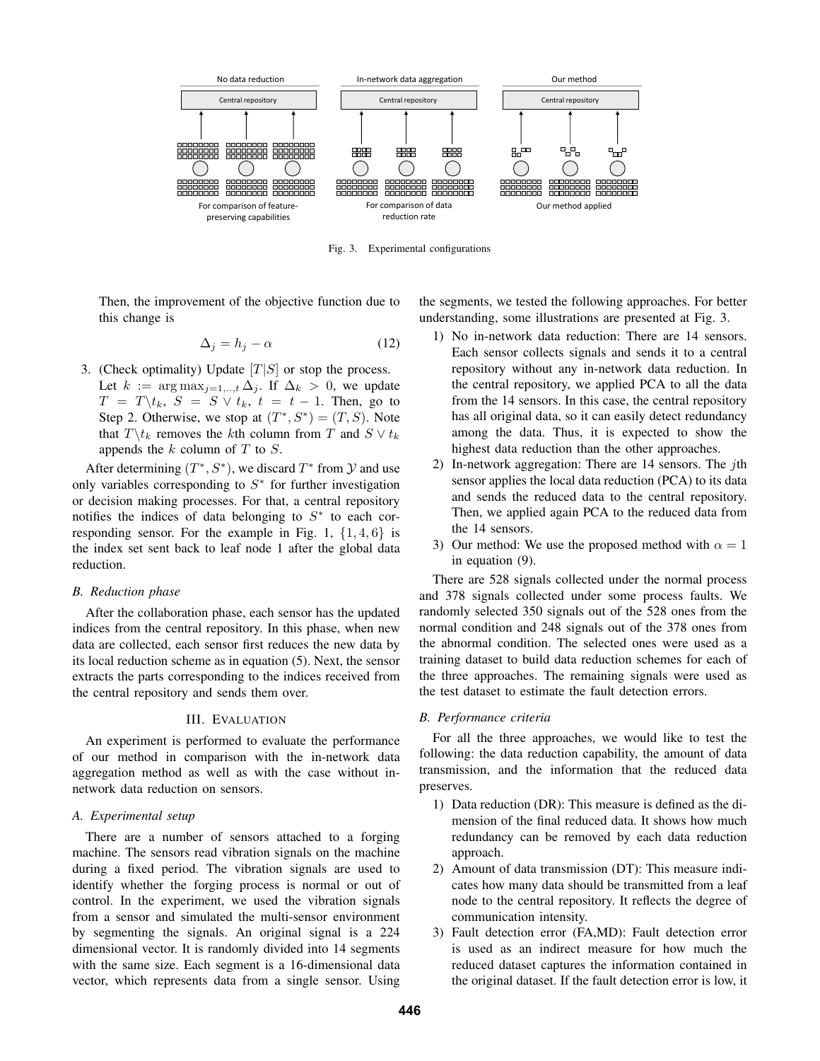

Fig. 3. Experimental configurations

Then, the improvement of the objective function due to this change is

$$
\Delta_j = h_j - \alpha \tag{12}
$$

3. (Check optimality) Update  $[T|S]$  or stop the process. Let  $k := \arg \max_{j=1, \ldots, t} \Delta_j$ . If  $\Delta_k > 0$ , we update  $T = T \setminus t_k$ ,  $S = S \vee t_k$ ,  $t = t - 1$ . Then, go to Step 2. Otherwise, we stop at  $(T^*, S^*) = (T, S)$ . Note that  $T\backslash t_k$  removes the kth column from T and  $S \vee t_k$ appends the  $k$  column of  $T$  to  $S$ .

After determining  $(T^*, S^*)$ , we discard  $T^*$  from  $\mathcal Y$  and use only variables corresponding to  $S^*$  for further investigation or decision making processes. For that, a central repository notifies the indices of data belonging to  $S^*$  to each corresponding sensor. For the example in Fig. 1,  $\{1, 4, 6\}$  is the index set sent back to leaf node 1 after the global data reduction.

# *B. Reduction phase*

After the collaboration phase, each sensor has the updated indices from the central repository. In this phase, when new data are collected, each sensor first reduces the new data by its local reduction scheme as in equation (5). Next, the sensor extracts the parts corresponding to the indices received from the central repository and sends them over.

### III. EVALUATION

An experiment is performed to evaluate the performance of our method in comparison with the in-network data aggregation method as well as with the case without innetwork data reduction on sensors.

## *A. Experimental setup*

There are a number of sensors attached to a forging machine. The sensors read vibration signals on the machine during a fixed period. The vibration signals are used to identify whether the forging process is normal or out of control. In the experiment, we used the vibration signals from a sensor and simulated the multi-sensor environment by segmenting the signals. An original signal is a 224 dimensional vector. It is randomly divided into 14 segments with the same size. Each segment is a 16-dimensional data vector, which represents data from a single sensor. Using

the segments, we tested the following approaches. For better understanding, some illustrations are presented at Fig. 3.

- 1) No in-network data reduction: There are 14 sensors. Each sensor collects signals and sends it to a central repository without any in-network data reduction. In the central repository, we applied PCA to all the data from the 14 sensors. In this case, the central repository has all original data, so it can easily detect redundancy among the data. Thus, it is expected to show the highest data reduction than the other approaches.
- 2) In-network aggregation: There are  $14$  sensors. The  $j$ th sensor applies the local data reduction (PCA) to its data and sends the reduced data to the central repository. Then, we applied again PCA to the reduced data from the 14 sensors.
- 3) Our method: We use the proposed method with  $\alpha = 1$ in equation (9).

There are 528 signals collected under the normal process and 378 signals collected under some process faults. We randomly selected 350 signals out of the 528 ones from the normal condition and 248 signals out of the 378 ones from the abnormal condition. The selected ones were used as a training dataset to build data reduction schemes for each of the three approaches. The remaining signals were used as the test dataset to estimate the fault detection errors.

# *B. Performance criteria*

For all the three approaches, we would like to test the following: the data reduction capability, the amount of data transmission, and the information that the reduced data preserves.

- 1) Data reduction (DR): This measure is defined as the dimension of the final reduced data. It shows how much redundancy can be removed by each data reduction approach.
- 2) Amount of data transmission (DT): This measure indicates how many data should be transmitted from a leaf node to the central repository. It reflects the degree of communication intensity.
- 3) Fault detection error (FA,MD): Fault detection error is used as an indirect measure for how much the reduced dataset captures the information contained in the original dataset. If the fault detection error is low, it